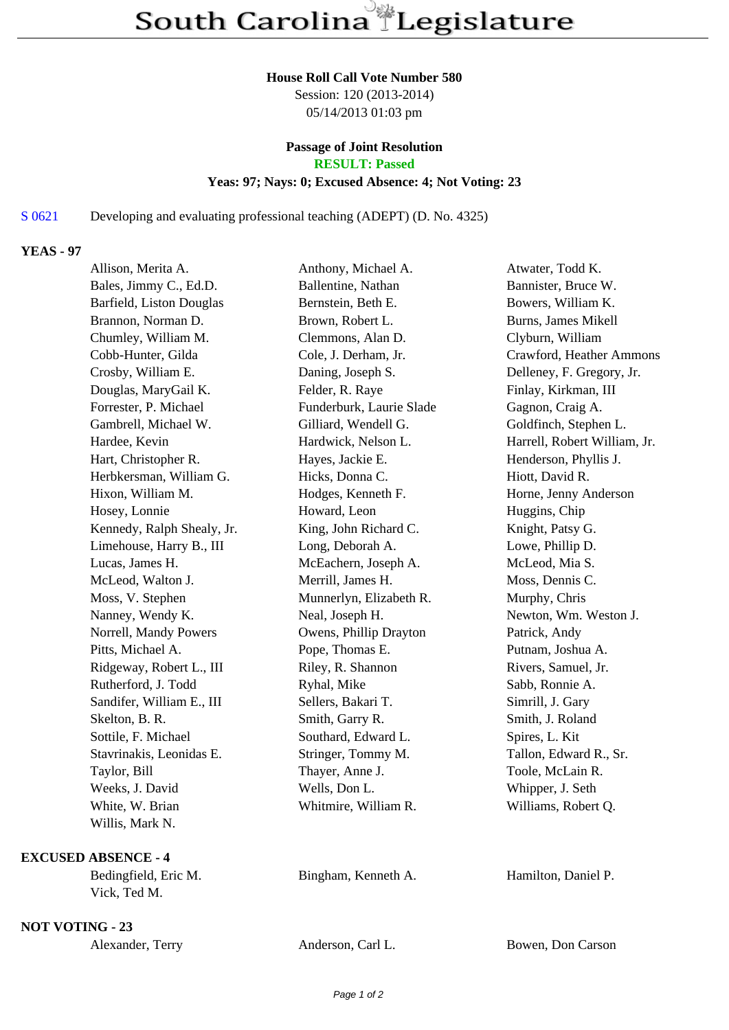#### **House Roll Call Vote Number 580**

Session: 120 (2013-2014) 05/14/2013 01:03 pm

# **Passage of Joint Resolution**

**RESULT: Passed**

## **Yeas: 97; Nays: 0; Excused Absence: 4; Not Voting: 23**

## S 0621 Developing and evaluating professional teaching (ADEPT) (D. No. 4325)

#### **YEAS - 97**

| Allison, Merita A.         | Anthony, Michael A.      | Atwater, Todd K.             |
|----------------------------|--------------------------|------------------------------|
| Bales, Jimmy C., Ed.D.     | Ballentine, Nathan       | Bannister, Bruce W.          |
| Barfield, Liston Douglas   | Bernstein, Beth E.       | Bowers, William K.           |
| Brannon, Norman D.         | Brown, Robert L.         | <b>Burns, James Mikell</b>   |
| Chumley, William M.        | Clemmons, Alan D.        | Clyburn, William             |
| Cobb-Hunter, Gilda         | Cole, J. Derham, Jr.     | Crawford, Heather Ammons     |
| Crosby, William E.         | Daning, Joseph S.        | Delleney, F. Gregory, Jr.    |
| Douglas, MaryGail K.       | Felder, R. Raye          | Finlay, Kirkman, III         |
| Forrester, P. Michael      | Funderburk, Laurie Slade | Gagnon, Craig A.             |
| Gambrell, Michael W.       | Gilliard, Wendell G.     | Goldfinch, Stephen L.        |
| Hardee, Kevin              | Hardwick, Nelson L.      | Harrell, Robert William, Jr. |
| Hart, Christopher R.       | Hayes, Jackie E.         | Henderson, Phyllis J.        |
| Herbkersman, William G.    | Hicks, Donna C.          | Hiott, David R.              |
| Hixon, William M.          | Hodges, Kenneth F.       | Horne, Jenny Anderson        |
| Hosey, Lonnie              | Howard, Leon             | Huggins, Chip                |
| Kennedy, Ralph Shealy, Jr. | King, John Richard C.    | Knight, Patsy G.             |
| Limehouse, Harry B., III   | Long, Deborah A.         | Lowe, Phillip D.             |
| Lucas, James H.            | McEachern, Joseph A.     | McLeod, Mia S.               |
| McLeod, Walton J.          | Merrill, James H.        | Moss, Dennis C.              |
| Moss, V. Stephen           | Munnerlyn, Elizabeth R.  | Murphy, Chris                |
| Nanney, Wendy K.           | Neal, Joseph H.          | Newton, Wm. Weston J.        |
| Norrell, Mandy Powers      | Owens, Phillip Drayton   | Patrick, Andy                |
| Pitts, Michael A.          | Pope, Thomas E.          | Putnam, Joshua A.            |
| Ridgeway, Robert L., III   | Riley, R. Shannon        | Rivers, Samuel, Jr.          |
| Rutherford, J. Todd        | Ryhal, Mike              | Sabb, Ronnie A.              |
| Sandifer, William E., III  | Sellers, Bakari T.       | Simrill, J. Gary             |
| Skelton, B. R.             | Smith, Garry R.          | Smith, J. Roland             |
| Sottile, F. Michael        | Southard, Edward L.      | Spires, L. Kit               |
| Stavrinakis, Leonidas E.   | Stringer, Tommy M.       | Tallon, Edward R., Sr.       |
| Taylor, Bill               | Thayer, Anne J.          | Toole, McLain R.             |
| Weeks, J. David            | Wells, Don L.            | Whipper, J. Seth             |
| White, W. Brian            | Whitmire, William R.     | Williams, Robert Q.          |
| Willis, Mark N.            |                          |                              |

### **EXCUSED ABSENCE - 4**

Bedingfield, Eric M. Bingham, Kenneth A. Hamilton, Daniel P. Vick, Ted M.

**NOT VOTING - 23**

| Alexander, Terry | Anderson, Carl L. | Bowen, Don Carson |
|------------------|-------------------|-------------------|
|                  |                   |                   |